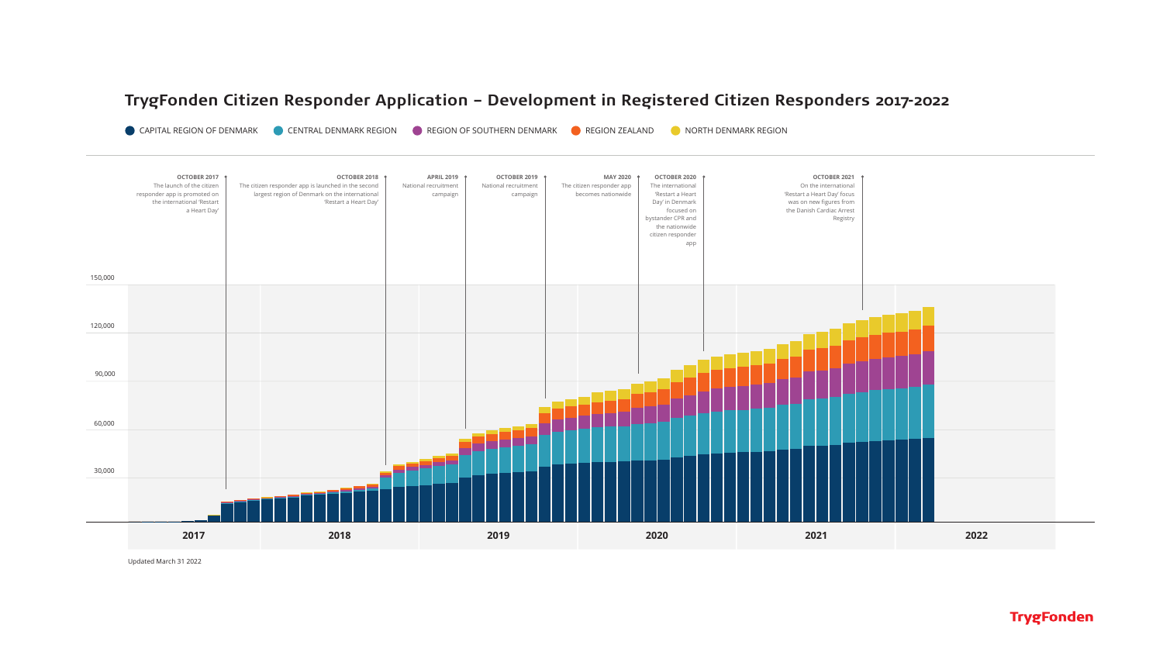# TrygFonden Citizen Responder Application – Development in Registered Citizen Responders 2017-2022

**CENTRAL DENMARK REGION CONTHERN DENMARK CONTHERN DESIGN ZEALAND CONTHERN DEN REGION STATES AND REGION STATES O** CAPITAL REGION OF DENMARK



Updated March 31 2022

### **TrygFonden**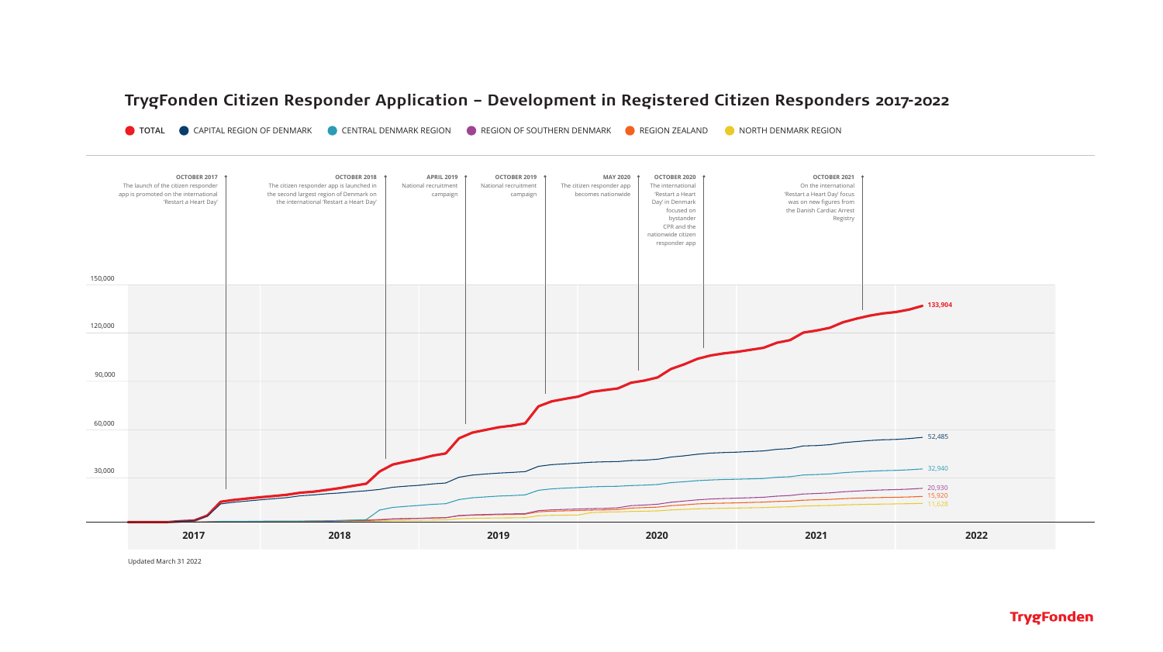## TrygFonden Citizen Responder Application – Development in Registered Citizen Responders 2017-2022

TOTAL ● CAPITAL REGION OF DENMARK ● CENTRAL DENMARK REGION ● REGION OF SOUTHERN DENMARK ● REGION ZEALAND ● NORTH DENMARK REGION



Updated March 31 2022

**TrygFonden**